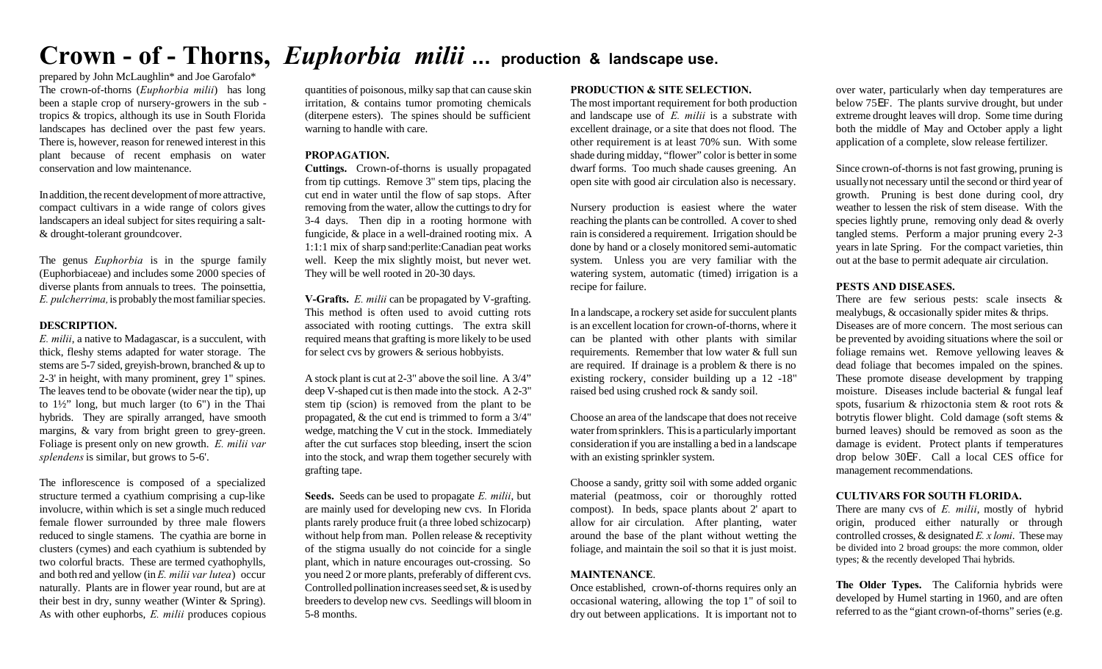# **Crown - of - Thorns,** *Euphorbia milii* **... production & landscape use.**

prepared by John McLaughlin\* and Joe Garofalo\* The crown-of-thorns (*Euphorbia milii*) has long been a staple crop of nursery-growers in the sub tropics & tropics, although its use in South Florida landscapes has declined over the past few years. There is, however, reason for renewed interest in this plant because of recent emphasis on water conservation and low maintenance.

In addition, the recent development of more attractive, compact cultivars in a wide range of colors gives landscapers an ideal subject for sites requiring a salt- & drought-tolerant groundcover.

The genus *Euphorbia* is in the spurge family (Euphorbiaceae) and includes some 2000 species of diverse plants from annuals to trees. The poinsettia, *E. pulcherrima,* is probably the most familiar species.

#### **DESCRIPTION.**

*E. milii*, a native to Madagascar, is a succulent, with thick, fleshy stems adapted for water storage. The stems are 5-7 sided, greyish-brown, branched & up to 2-3' in height, with many prominent, grey 1" spines. The leaves tend to be obovate (wider near the tip), up to 1½" long, but much larger (to 6") in the Thai hybrids. They are spirally arranged, have smooth margins, & vary from bright green to grey-green. Foliage is present only on new growth. *E. milii var splendens* is similar, but grows to 5-6'.

The inflorescence is composed of a specialized structure termed a cyathium comprising a cup-like involucre, within which is set a single much reduced female flower surrounded by three male flowers reduced to single stamens. The cyathia are borne in clusters (cymes) and each cyathium is subtended by two colorful bracts. These are termed cyathophylls, and both red and yellow (in *E. milii var lutea*) occur naturally. Plants are in flower year round, but are at their best in dry, sunny weather (Winter & Spring). As with other euphorbs, *E. milii* produces copious

quantities of poisonous, milky sap that can cause skin irritation, & contains tumor promoting chemicals (diterpene esters). The spines should be sufficient warning to handle with care.

#### **PROPAGATION.**

**Cuttings.** Crown-of-thorns is usually propagated from tip cuttings. Remove 3" stem tips, placing the cut end in water until the flow of sap stops. After removing from the water, allow the cuttings to dry for 3-4 days. Then dip in a rooting hormone with fungicide, & place in a well-drained rooting mix. A 1:1:1 mix of sharp sand:perlite:Canadian peat works well. Keep the mix slightly moist, but never wet. They will be well rooted in 20-30 days.

**V-Grafts.** *E. milii* can be propagated by V-grafting. This method is often used to avoid cutting rots associated with rooting cuttings. The extra skill required means that grafting is more likely to be used for select cvs by growers & serious hobbyists.

A stock plant is cut at 2-3" above the soil line. A 3/4" deep V-shaped cut is then made into the stock. A 2-3" stem tip (scion) is removed from the plant to be propagated, & the cut end is trimmed to form a 3/4" wedge, matching the V cut in the stock. Immediately after the cut surfaces stop bleeding, insert the scion into the stock, and wrap them together securely with grafting tape.

**Seeds.** Seeds can be used to propagate *E. milii*, but are mainly used for developing new cvs. In Florida plants rarely produce fruit (a three lobed schizocarp) without help from man. Pollen release & receptivity of the stigma usually do not coincide for a single plant, which in nature encourages out-crossing. So you need 2 or more plants, preferably of different cvs. Controlled pollination increases seed set, & is used by breeders to develop new cvs. Seedlings will bloom in 5-8 months.

#### **PRODUCTION & SITE SELECTION.**

The most important requirement for both production and landscape use of *E. milii* is a substrate with excellent drainage, or a site that does not flood. The other requirement is at least 70% sun. With some shade during midday, "flower" color is better in some dwarf forms. Too much shade causes greening. An open site with good air circulation also is necessary.

Nursery production is easiest where the water reaching the plants can be controlled. A cover to shed rain is considered a requirement. Irrigation should be done by hand or a closely monitored semi-automatic system. Unless you are very familiar with the watering system, automatic (timed) irrigation is a recipe for failure.

In a landscape, a rockery set aside for succulent plants is an excellent location for crown-of-thorns, where it can be planted with other plants with similar requirements. Remember that low water & full sun are required. If drainage is a problem & there is no existing rockery, consider building up a 12 -18" raised bed using crushed rock & sandy soil.

Choose an area of the landscape that does not receive water from sprinklers. This is a particularly important consideration if you are installing a bed in a landscape with an existing sprinkler system.

Choose a sandy, gritty soil with some added organic material (peatmoss, coir or thoroughly rotted compost). In beds, space plants about 2' apart to allow for air circulation. After planting, water around the base of the plant without wetting the foliage, and maintain the soil so that it is just moist.

## **MAINTENANCE**.

Once established, crown-of-thorns requires only an occasional watering, allowing the top 1" of soil to dry out between applications. It is important not to

over water, particularly when day temperatures are below 75EF. The plants survive drought, but under extreme drought leaves will drop. Some time during both the middle of May and October apply a light application of a complete, slow release fertilizer.

Since crown-of-thorns is not fast growing, pruning is usually not necessary until the second or third year of growth. Pruning is best done during cool, dry weather to lessen the risk of stem disease. With the species lightly prune, removing only dead & overly tangled stems. Perform a major pruning every 2-3 years in late Spring. For the compact varieties, thin out at the base to permit adequate air circulation.

### **PESTS AND DISEASES.**

There are few serious pests: scale insects & mealybugs, & occasionally spider mites & thrips. Diseases are of more concern. The most serious can be prevented by avoiding situations where the soil or foliage remains wet. Remove yellowing leaves & dead foliage that becomes impaled on the spines. These promote disease development by trapping moisture. Diseases include bacterial & fungal leaf spots, fusarium & rhizoctonia stem & root rots & botrytis flower blight. Cold damage (soft stems & burned leaves) should be removed as soon as the damage is evident. Protect plants if temperatures drop below 30EF. Call a local CES office for management recommendations.

#### **CULTIVARS FOR SOUTH FLORIDA.**

There are many cvs of *E. milii*, mostly of hybrid origin, produced either naturally or through controlled crosses, & designated *E. x lomi*. These may be divided into 2 broad groups: the more common, older types; & the recently developed Thai hybrids.

**The Older Types.** The California hybrids were developed by Humel starting in 1960, and are often referred to as the "giant crown-of-thorns" series (e.g.